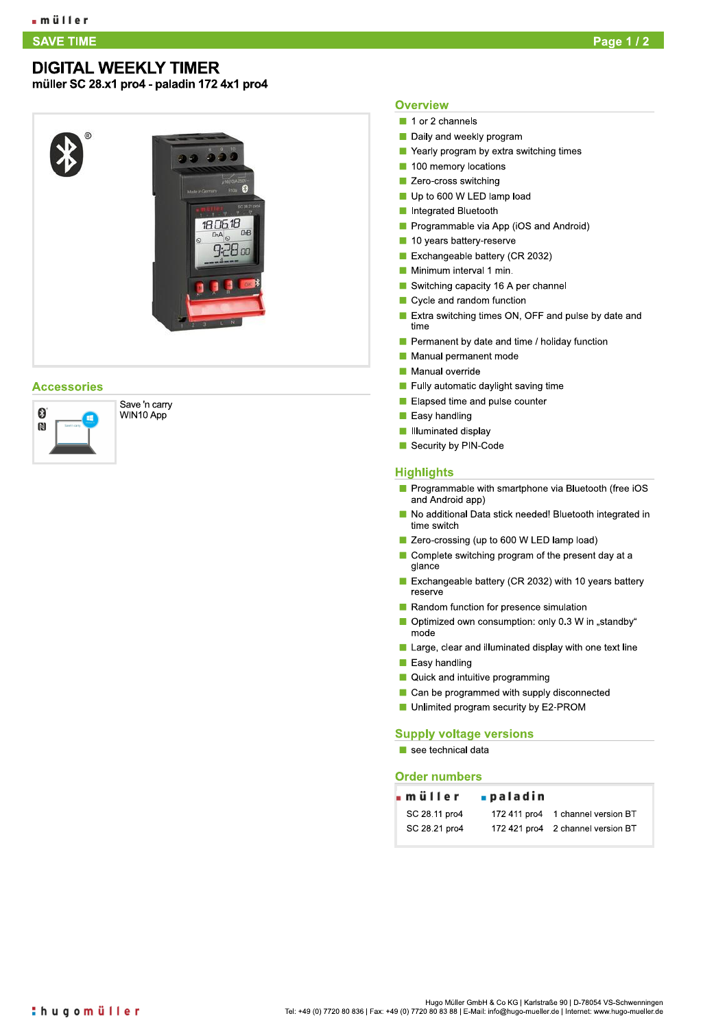## **DIGITAL WEEKLY TIMER**

müller SC 28.x1 pro4 - paladin 172 4x1 pro4

# 1806.18 e Ha

### **Accessories**



Save 'n carry WIN10 App

#### **Overview**

- 1 or 2 channels
- Daily and weekly program
- Yearly program by extra switching times
- 100 memory locations
- **Zero-cross switching**
- Up to 600 W LED lamp load
- Integrated Bluetooth
- Programmable via App (iOS and Android)
- 10 years battery-reserve
- Exchangeable battery (CR 2032)
- Minimum interval 1 min.
- Switching capacity 16 A per channel
- Cycle and random function
- Extra switching times ON, OFF and pulse by date and time
- Permanent by date and time / holiday function
- Manual permanent mode
- Manual override
- Fully automatic daylight saving time
- Elapsed time and pulse counter
- Easy handling
- Illuminated display
- Security by PIN-Code

#### **Highlights**

- Programmable with smartphone via Bluetooth (free iOS and Android app)
- No additional Data stick needed! Bluetooth integrated in time switch
- Zero-crossing (up to 600 W LED lamp load)
- Complete switching program of the present day at a glance
- Exchangeable battery (CR 2032) with 10 years battery reserve
- Random function for presence simulation
- Optimized own consumption: only 0.3 W in "standby" mode
- Large, clear and illuminated display with one text line
- $\blacksquare$  Easy handling
- Quick and intuitive programming
- Can be programmed with supply disconnected
- Unlimited program security by E2-PROM

#### **Supply voltage versions**

 $\blacksquare$  see technical data

#### **Order numbers**

| ∎paladin |                                   |
|----------|-----------------------------------|
|          | 172 411 pro4 1 channel version BT |
|          | 172 421 pro4 2 channel version BT |
|          |                                   |